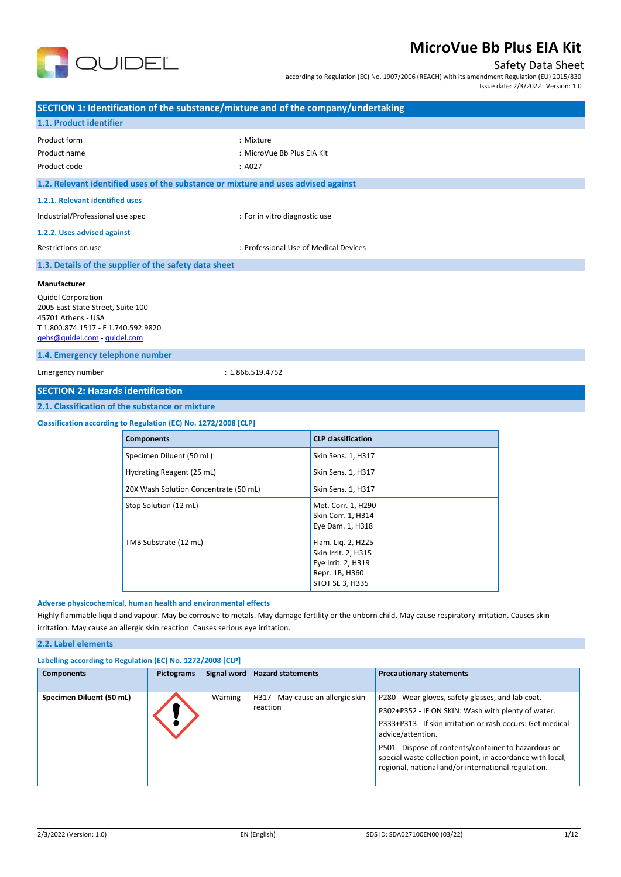

## Safety Data Sheet

according to Regulation (EC) No. 1907/2006 (REACH) with its amendment Regulation (EU) 2015/830

Issue date: 2/3/2022 Version: 1.0

| : Mixture<br>: MicroVue Bb Plus EIA Kit<br>: A027<br>1.2. Relevant identified uses of the substance or mixture and uses advised against<br>1.2.1. Relevant identified uses<br>: For in vitro diagnostic use<br>1.2.2. Uses advised against<br>: Professional Use of Medical Devices<br>1.3. Details of the supplier of the safety data sheet<br>Manufacturer<br>2005 East State Street, Suite 100<br>T1.800.874.1517 - F1.740.592.9820<br>gehs@quidel.com - guidel.com<br>1.4. Emergency telephone number<br>: 1.866.519.4752<br><b>SECTION 2: Hazards identification</b><br>2.1. Classification of the substance or mixture<br>Classification according to Regulation (EC) No. 1272/2008 [CLP]<br><b>CLP classification</b><br><b>Components</b><br>Specimen Diluent (50 mL)<br>Skin Sens. 1, H317<br>Hydrating Reagent (25 mL)<br>Skin Sens. 1, H317<br>20X Wash Solution Concentrate (50 mL)<br>Skin Sens. 1, H317<br>Met. Corr. 1, H290<br>Stop Solution (12 mL)<br>Skin Corr. 1, H314<br>Eye Dam. 1, H318<br>TMB Substrate (12 mL)<br>Flam. Liq. 2, H225<br>Skin Irrit. 2, H315<br>Eye Irrit. 2, H319<br>Repr. 1B, H360<br>STOT SE 3, H335<br>Adverse physicochemical, human health and environmental effects<br>Highly flammable liquid and vapour. May be corrosive to metals. May damage fertility or the unborn child. May cause respiratory irritation. Causes skin<br>irritation. May cause an allergic skin reaction. Causes serious eye irritation.<br>2.2. Label elements |                                                 |  | SECTION 1: Identification of the substance/mixture and of the company/undertaking |  |
|-----------------------------------------------------------------------------------------------------------------------------------------------------------------------------------------------------------------------------------------------------------------------------------------------------------------------------------------------------------------------------------------------------------------------------------------------------------------------------------------------------------------------------------------------------------------------------------------------------------------------------------------------------------------------------------------------------------------------------------------------------------------------------------------------------------------------------------------------------------------------------------------------------------------------------------------------------------------------------------------------------------------------------------------------------------------------------------------------------------------------------------------------------------------------------------------------------------------------------------------------------------------------------------------------------------------------------------------------------------------------------------------------------------------------------------------------------------------------------------------|-------------------------------------------------|--|-----------------------------------------------------------------------------------|--|
|                                                                                                                                                                                                                                                                                                                                                                                                                                                                                                                                                                                                                                                                                                                                                                                                                                                                                                                                                                                                                                                                                                                                                                                                                                                                                                                                                                                                                                                                                         | 1.1. Product identifier                         |  |                                                                                   |  |
|                                                                                                                                                                                                                                                                                                                                                                                                                                                                                                                                                                                                                                                                                                                                                                                                                                                                                                                                                                                                                                                                                                                                                                                                                                                                                                                                                                                                                                                                                         | Product form                                    |  |                                                                                   |  |
|                                                                                                                                                                                                                                                                                                                                                                                                                                                                                                                                                                                                                                                                                                                                                                                                                                                                                                                                                                                                                                                                                                                                                                                                                                                                                                                                                                                                                                                                                         | Product name                                    |  |                                                                                   |  |
|                                                                                                                                                                                                                                                                                                                                                                                                                                                                                                                                                                                                                                                                                                                                                                                                                                                                                                                                                                                                                                                                                                                                                                                                                                                                                                                                                                                                                                                                                         | Product code                                    |  |                                                                                   |  |
|                                                                                                                                                                                                                                                                                                                                                                                                                                                                                                                                                                                                                                                                                                                                                                                                                                                                                                                                                                                                                                                                                                                                                                                                                                                                                                                                                                                                                                                                                         |                                                 |  |                                                                                   |  |
|                                                                                                                                                                                                                                                                                                                                                                                                                                                                                                                                                                                                                                                                                                                                                                                                                                                                                                                                                                                                                                                                                                                                                                                                                                                                                                                                                                                                                                                                                         |                                                 |  |                                                                                   |  |
|                                                                                                                                                                                                                                                                                                                                                                                                                                                                                                                                                                                                                                                                                                                                                                                                                                                                                                                                                                                                                                                                                                                                                                                                                                                                                                                                                                                                                                                                                         | Industrial/Professional use spec                |  |                                                                                   |  |
|                                                                                                                                                                                                                                                                                                                                                                                                                                                                                                                                                                                                                                                                                                                                                                                                                                                                                                                                                                                                                                                                                                                                                                                                                                                                                                                                                                                                                                                                                         |                                                 |  |                                                                                   |  |
|                                                                                                                                                                                                                                                                                                                                                                                                                                                                                                                                                                                                                                                                                                                                                                                                                                                                                                                                                                                                                                                                                                                                                                                                                                                                                                                                                                                                                                                                                         | Restrictions on use                             |  |                                                                                   |  |
|                                                                                                                                                                                                                                                                                                                                                                                                                                                                                                                                                                                                                                                                                                                                                                                                                                                                                                                                                                                                                                                                                                                                                                                                                                                                                                                                                                                                                                                                                         |                                                 |  |                                                                                   |  |
|                                                                                                                                                                                                                                                                                                                                                                                                                                                                                                                                                                                                                                                                                                                                                                                                                                                                                                                                                                                                                                                                                                                                                                                                                                                                                                                                                                                                                                                                                         | <b>Quidel Corporation</b><br>45701 Athens - USA |  |                                                                                   |  |
|                                                                                                                                                                                                                                                                                                                                                                                                                                                                                                                                                                                                                                                                                                                                                                                                                                                                                                                                                                                                                                                                                                                                                                                                                                                                                                                                                                                                                                                                                         |                                                 |  |                                                                                   |  |
|                                                                                                                                                                                                                                                                                                                                                                                                                                                                                                                                                                                                                                                                                                                                                                                                                                                                                                                                                                                                                                                                                                                                                                                                                                                                                                                                                                                                                                                                                         | Emergency number                                |  |                                                                                   |  |
|                                                                                                                                                                                                                                                                                                                                                                                                                                                                                                                                                                                                                                                                                                                                                                                                                                                                                                                                                                                                                                                                                                                                                                                                                                                                                                                                                                                                                                                                                         |                                                 |  |                                                                                   |  |
|                                                                                                                                                                                                                                                                                                                                                                                                                                                                                                                                                                                                                                                                                                                                                                                                                                                                                                                                                                                                                                                                                                                                                                                                                                                                                                                                                                                                                                                                                         |                                                 |  |                                                                                   |  |
|                                                                                                                                                                                                                                                                                                                                                                                                                                                                                                                                                                                                                                                                                                                                                                                                                                                                                                                                                                                                                                                                                                                                                                                                                                                                                                                                                                                                                                                                                         |                                                 |  |                                                                                   |  |
|                                                                                                                                                                                                                                                                                                                                                                                                                                                                                                                                                                                                                                                                                                                                                                                                                                                                                                                                                                                                                                                                                                                                                                                                                                                                                                                                                                                                                                                                                         |                                                 |  |                                                                                   |  |
|                                                                                                                                                                                                                                                                                                                                                                                                                                                                                                                                                                                                                                                                                                                                                                                                                                                                                                                                                                                                                                                                                                                                                                                                                                                                                                                                                                                                                                                                                         |                                                 |  |                                                                                   |  |
|                                                                                                                                                                                                                                                                                                                                                                                                                                                                                                                                                                                                                                                                                                                                                                                                                                                                                                                                                                                                                                                                                                                                                                                                                                                                                                                                                                                                                                                                                         |                                                 |  |                                                                                   |  |
|                                                                                                                                                                                                                                                                                                                                                                                                                                                                                                                                                                                                                                                                                                                                                                                                                                                                                                                                                                                                                                                                                                                                                                                                                                                                                                                                                                                                                                                                                         |                                                 |  |                                                                                   |  |
|                                                                                                                                                                                                                                                                                                                                                                                                                                                                                                                                                                                                                                                                                                                                                                                                                                                                                                                                                                                                                                                                                                                                                                                                                                                                                                                                                                                                                                                                                         |                                                 |  |                                                                                   |  |
|                                                                                                                                                                                                                                                                                                                                                                                                                                                                                                                                                                                                                                                                                                                                                                                                                                                                                                                                                                                                                                                                                                                                                                                                                                                                                                                                                                                                                                                                                         |                                                 |  |                                                                                   |  |
|                                                                                                                                                                                                                                                                                                                                                                                                                                                                                                                                                                                                                                                                                                                                                                                                                                                                                                                                                                                                                                                                                                                                                                                                                                                                                                                                                                                                                                                                                         |                                                 |  |                                                                                   |  |
| Labelling according to Regulation (EC) No. 1272/2008 [CLP]                                                                                                                                                                                                                                                                                                                                                                                                                                                                                                                                                                                                                                                                                                                                                                                                                                                                                                                                                                                                                                                                                                                                                                                                                                                                                                                                                                                                                              |                                                 |  |                                                                                   |  |

| <b>Components</b>        | <b>Pictograms</b> | Signal word | <b>Hazard statements</b>                      | <b>Precautionary statements</b>                                                                                                                                                                                                                                                                                                                                        |
|--------------------------|-------------------|-------------|-----------------------------------------------|------------------------------------------------------------------------------------------------------------------------------------------------------------------------------------------------------------------------------------------------------------------------------------------------------------------------------------------------------------------------|
| Specimen Diluent (50 mL) |                   | Warning     | H317 - May cause an allergic skin<br>reaction | P280 - Wear gloves, safety glasses, and lab coat.<br>P302+P352 - IF ON SKIN: Wash with plenty of water.<br>P333+P313 - If skin irritation or rash occurs: Get medical<br>advice/attention.<br>P501 - Dispose of contents/container to hazardous or<br>special waste collection point, in accordance with local,<br>regional, national and/or international regulation. |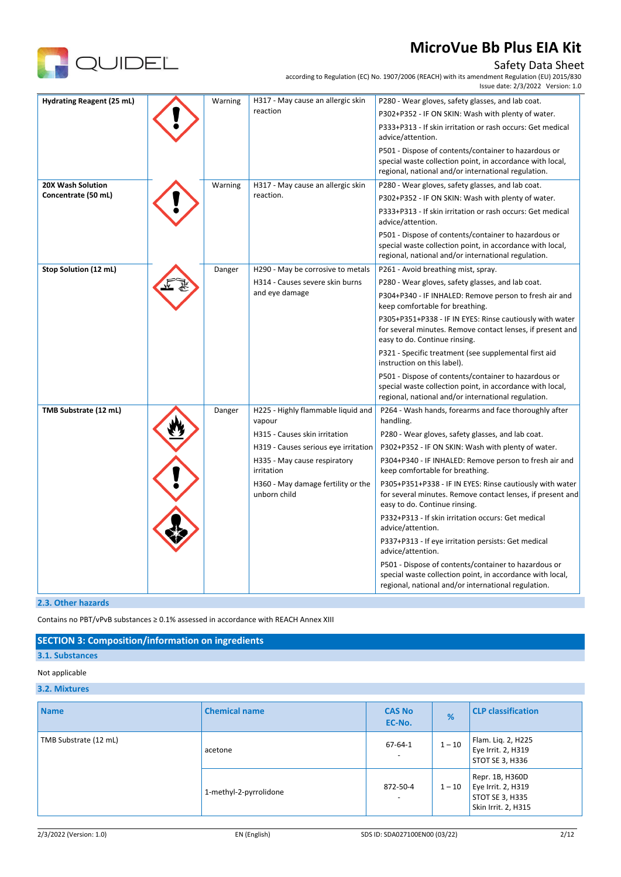

### Safety Data Sheet

according to Regulation (EC) No. 1907/2006 (REACH) with its amendment Regulation (EU) 2015/830

|                           |         |                                                    | Issue date: 2/3/2022 Version: 1.0                                                                                                                                        |
|---------------------------|---------|----------------------------------------------------|--------------------------------------------------------------------------------------------------------------------------------------------------------------------------|
| Hydrating Reagent (25 mL) | Warning | H317 - May cause an allergic skin                  | P280 - Wear gloves, safety glasses, and lab coat.                                                                                                                        |
|                           |         | reaction                                           | P302+P352 - IF ON SKIN: Wash with plenty of water.                                                                                                                       |
|                           |         |                                                    | P333+P313 - If skin irritation or rash occurs: Get medical<br>advice/attention.                                                                                          |
|                           |         |                                                    | P501 - Dispose of contents/container to hazardous or<br>special waste collection point, in accordance with local,<br>regional, national and/or international regulation. |
| 20X Wash Solution         | Warning | H317 - May cause an allergic skin                  | P280 - Wear gloves, safety glasses, and lab coat.                                                                                                                        |
| Concentrate (50 mL)       |         | reaction.                                          | P302+P352 - IF ON SKIN: Wash with plenty of water.                                                                                                                       |
|                           |         |                                                    | P333+P313 - If skin irritation or rash occurs: Get medical<br>advice/attention.                                                                                          |
|                           |         |                                                    | P501 - Dispose of contents/container to hazardous or<br>special waste collection point, in accordance with local,<br>regional, national and/or international regulation. |
| Stop Solution (12 mL)     | Danger  | H290 - May be corrosive to metals                  | P261 - Avoid breathing mist, spray.                                                                                                                                      |
|                           |         | H314 - Causes severe skin burns                    | P280 - Wear gloves, safety glasses, and lab coat.                                                                                                                        |
|                           |         | and eye damage                                     | P304+P340 - IF INHALED: Remove person to fresh air and<br>keep comfortable for breathing.                                                                                |
|                           |         |                                                    | P305+P351+P338 - IF IN EYES: Rinse cautiously with water<br>for several minutes. Remove contact lenses, if present and<br>easy to do. Continue rinsing.                  |
|                           |         |                                                    | P321 - Specific treatment (see supplemental first aid<br>instruction on this label).                                                                                     |
|                           |         |                                                    | P501 - Dispose of contents/container to hazardous or<br>special waste collection point, in accordance with local,<br>regional, national and/or international regulation. |
| TMB Substrate (12 mL)     | Danger  | H225 - Highly flammable liquid and<br>vapour       | P264 - Wash hands, forearms and face thoroughly after<br>handling.                                                                                                       |
|                           |         | H315 - Causes skin irritation                      | P280 - Wear gloves, safety glasses, and lab coat.                                                                                                                        |
|                           |         | H319 - Causes serious eye irritation               | P302+P352 - IF ON SKIN: Wash with plenty of water.                                                                                                                       |
|                           |         | H335 - May cause respiratory<br>irritation         | P304+P340 - IF INHALED: Remove person to fresh air and<br>keep comfortable for breathing.                                                                                |
|                           |         | H360 - May damage fertility or the<br>unborn child | P305+P351+P338 - IF IN EYES: Rinse cautiously with water<br>for several minutes. Remove contact lenses, if present and<br>easy to do. Continue rinsing.                  |
|                           |         |                                                    | P332+P313 - If skin irritation occurs: Get medical<br>advice/attention.                                                                                                  |
|                           |         |                                                    | P337+P313 - If eye irritation persists: Get medical<br>advice/attention.                                                                                                 |
|                           |         |                                                    | P501 - Dispose of contents/container to hazardous or<br>special waste collection point, in accordance with local,<br>regional, national and/or international regulation. |

#### **2.3. Other hazards**

Contains no PBT/vPvB substances ≥ 0.1% assessed in accordance with REACH Annex XIII

### **SECTION 3: Composition/information on ingredients**

# **3.1. Substances**

## Not applicable

### **3.2. Mixtures**

| <b>Name</b>           | <b>Chemical name</b>   | <b>CAS No</b><br>EC-No.                   | %        | <b>CLP classification</b>                                                       |
|-----------------------|------------------------|-------------------------------------------|----------|---------------------------------------------------------------------------------|
| TMB Substrate (12 mL) | acetone                | $67 - 64 - 1$<br>$\overline{\phantom{0}}$ | $1 - 10$ | Flam. Liq. 2, H225<br>Eye Irrit. 2, H319<br>STOT SE 3, H336                     |
|                       | 1-methyl-2-pyrrolidone | 872-50-4<br>$\overline{\phantom{a}}$      | $1 - 10$ | Repr. 1B, H360D<br>Eye Irrit. 2, H319<br>STOT SE 3, H335<br>Skin Irrit. 2, H315 |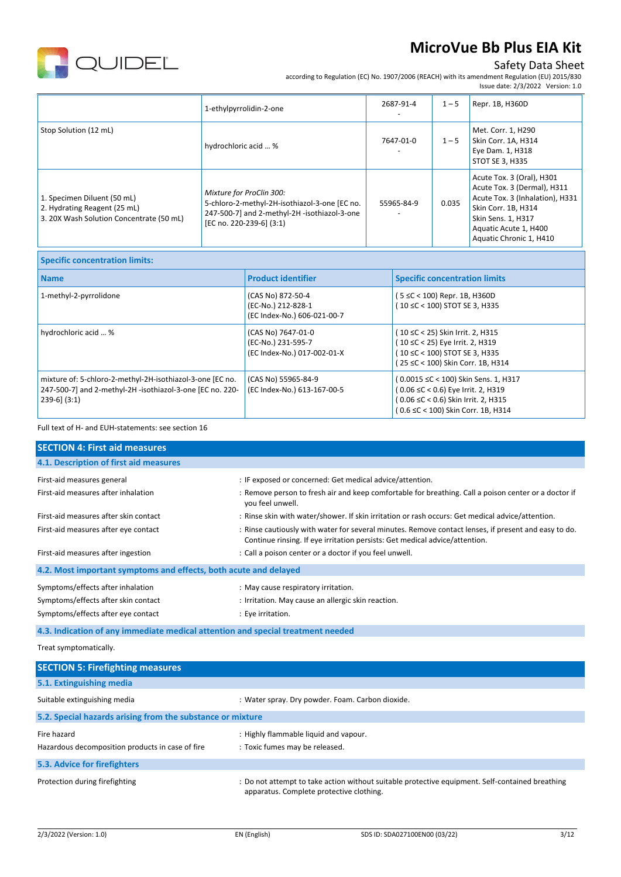

## Safety Data Sheet

according to Regulation (EC) No. 1907/2006 (REACH) with its amendment Regulation (EU) 2015/830

|                                                                                                         |                                                                                                                                                       |            |         | Issue date: 2/3/2022 Version: 1.0                                                                                                                                                            |
|---------------------------------------------------------------------------------------------------------|-------------------------------------------------------------------------------------------------------------------------------------------------------|------------|---------|----------------------------------------------------------------------------------------------------------------------------------------------------------------------------------------------|
|                                                                                                         | 1-ethylpyrrolidin-2-one                                                                                                                               | 2687-91-4  | $1 - 5$ | Repr. 1B, H360D                                                                                                                                                                              |
| Stop Solution (12 mL)                                                                                   | hydrochloric acid  %                                                                                                                                  | 7647-01-0  | $1 - 5$ | Met. Corr. 1, H290<br>Skin Corr. 1A, H314<br>Eye Dam. 1, H318<br>STOT SE 3, H335                                                                                                             |
| 1. Specimen Diluent (50 mL)<br>2. Hydrating Reagent (25 mL)<br>3. 20X Wash Solution Concentrate (50 mL) | Mixture for ProClin 300:<br>5-chloro-2-methyl-2H-isothiazol-3-one [EC no.<br>247-500-7] and 2-methyl-2H -isothiazol-3-one<br>[EC no. 220-239-6] (3:1) | 55965-84-9 | 0.035   | Acute Tox. 3 (Oral), H301<br>Acute Tox. 3 (Dermal), H311<br>Acute Tox. 3 (Inhalation), H331<br>Skin Corr. 1B, H314<br>Skin Sens. 1, H317<br>Aquatic Acute 1, H400<br>Aquatic Chronic 1, H410 |

| <b>Specific concentration limits:</b>                                                                                                       |                                                                         |                                                                                                                                                         |
|---------------------------------------------------------------------------------------------------------------------------------------------|-------------------------------------------------------------------------|---------------------------------------------------------------------------------------------------------------------------------------------------------|
| <b>Name</b>                                                                                                                                 | <b>Product identifier</b>                                               | <b>Specific concentration limits</b>                                                                                                                    |
| 1-methyl-2-pyrrolidone                                                                                                                      | (CAS No) 872-50-4<br>(EC-No.) 212-828-1<br>(EC Index-No.) 606-021-00-7  | 5 ≤C < 100) Repr. 1B, H360D<br>(10 ≤C < 100) STOT SE 3, H335                                                                                            |
| hydrochloric acid  %                                                                                                                        | (CAS No) 7647-01-0<br>(EC-No.) 231-595-7<br>(EC Index-No.) 017-002-01-X | (10 ≤C < 25) Skin Irrit. 2, H315<br>(10 ≤C < 25) Eye Irrit. 2, H319<br>(10 ≤C < 100) STOT SE 3, H335<br>(25 ≤C < 100) Skin Corr. 1B, H314               |
| mixture of: 5-chloro-2-methyl-2H-isothiazol-3-one [EC no.<br>247-500-7] and 2-methyl-2H -isothiazol-3-one [EC no. 220-<br>$239-6$ ] $(3:1)$ | (CAS No) 55965-84-9<br>(EC Index-No.) 613-167-00-5                      | (0.0015 ≤C < 100) Skin Sens. 1, H317<br>(0.06 ≤C < 0.6) Eye Irrit. 2, H319<br>(0.06 ≤C < 0.6) Skin Irrit. 2, H315<br>(0.6 ≤C < 100) Skin Corr. 1B, H314 |

Full text of H- and EUH-statements: see section 16

| <b>SECTION 4: First aid measures</b>                                                                           |                                                                                                                                                                                     |
|----------------------------------------------------------------------------------------------------------------|-------------------------------------------------------------------------------------------------------------------------------------------------------------------------------------|
| 4.1. Description of first aid measures                                                                         |                                                                                                                                                                                     |
| First-aid measures general                                                                                     | : IF exposed or concerned: Get medical advice/attention.                                                                                                                            |
| First-aid measures after inhalation                                                                            | : Remove person to fresh air and keep comfortable for breathing. Call a poison center or a doctor if<br>you feel unwell.                                                            |
| First-aid measures after skin contact                                                                          | : Rinse skin with water/shower. If skin irritation or rash occurs: Get medical advice/attention.                                                                                    |
| First-aid measures after eye contact                                                                           | : Rinse cautiously with water for several minutes. Remove contact lenses, if present and easy to do.<br>Continue rinsing. If eye irritation persists: Get medical advice/attention. |
| First-aid measures after ingestion                                                                             | : Call a poison center or a doctor if you feel unwell.                                                                                                                              |
| 4.2. Most important symptoms and effects, both acute and delayed                                               |                                                                                                                                                                                     |
| Symptoms/effects after inhalation<br>Symptoms/effects after skin contact<br>Symptoms/effects after eye contact | : May cause respiratory irritation.<br>: Irritation. May cause an allergic skin reaction.<br>: Eye irritation.                                                                      |

**4.3. Indication of any immediate medical attention and special treatment needed**

Treat symptomatically.

| <b>SECTION 5: Firefighting measures</b>                    |                                                                                                                                             |  |  |  |  |
|------------------------------------------------------------|---------------------------------------------------------------------------------------------------------------------------------------------|--|--|--|--|
| 5.1. Extinguishing media                                   |                                                                                                                                             |  |  |  |  |
| Suitable extinguishing media                               | : Water spray. Dry powder. Foam. Carbon dioxide.                                                                                            |  |  |  |  |
| 5.2. Special hazards arising from the substance or mixture |                                                                                                                                             |  |  |  |  |
| Fire hazard                                                | : Highly flammable liquid and vapour.                                                                                                       |  |  |  |  |
| Hazardous decomposition products in case of fire           | : Toxic fumes may be released.                                                                                                              |  |  |  |  |
| 5.3. Advice for firefighters                               |                                                                                                                                             |  |  |  |  |
| Protection during firefighting                             | : Do not attempt to take action without suitable protective equipment. Self-contained breathing<br>apparatus. Complete protective clothing. |  |  |  |  |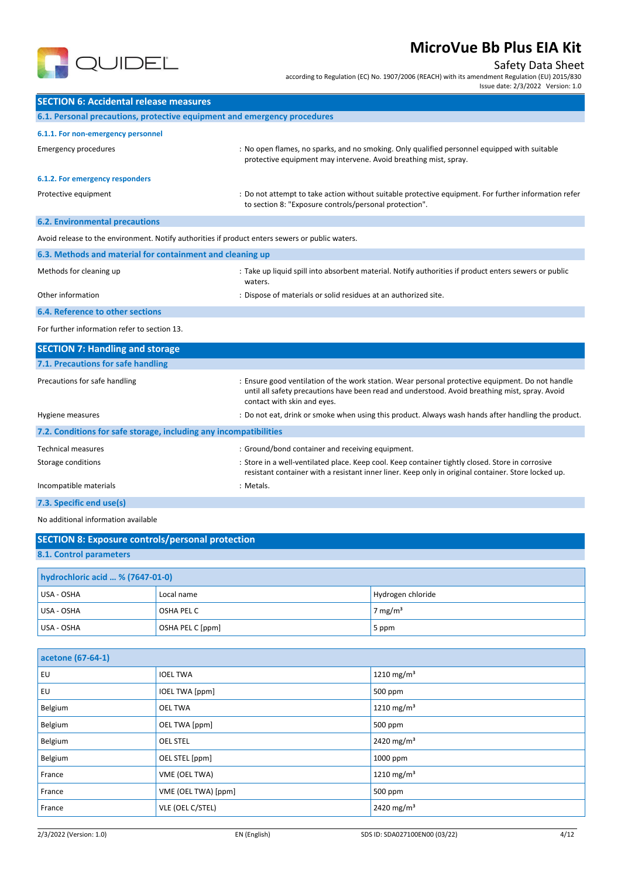

### Safety Data Sheet

according to Regulation (EC) No. 1907/2006 (REACH) with its amendment Regulation (EU) 2015/830

Issue date: 2/3/2022 Version: 1.0

| <b>SECTION 6: Accidental release measures</b>                                                   |                                                                                                                                                                                                                                   |  |  |  |
|-------------------------------------------------------------------------------------------------|-----------------------------------------------------------------------------------------------------------------------------------------------------------------------------------------------------------------------------------|--|--|--|
| 6.1. Personal precautions, protective equipment and emergency procedures                        |                                                                                                                                                                                                                                   |  |  |  |
| 6.1.1. For non-emergency personnel                                                              |                                                                                                                                                                                                                                   |  |  |  |
| <b>Emergency procedures</b>                                                                     | : No open flames, no sparks, and no smoking. Only qualified personnel equipped with suitable<br>protective equipment may intervene. Avoid breathing mist, spray.                                                                  |  |  |  |
| 6.1.2. For emergency responders                                                                 |                                                                                                                                                                                                                                   |  |  |  |
| Protective equipment                                                                            | : Do not attempt to take action without suitable protective equipment. For further information refer<br>to section 8: "Exposure controls/personal protection".                                                                    |  |  |  |
| <b>6.2. Environmental precautions</b>                                                           |                                                                                                                                                                                                                                   |  |  |  |
| Avoid release to the environment. Notify authorities if product enters sewers or public waters. |                                                                                                                                                                                                                                   |  |  |  |
| 6.3. Methods and material for containment and cleaning up                                       |                                                                                                                                                                                                                                   |  |  |  |
| Methods for cleaning up                                                                         | : Take up liquid spill into absorbent material. Notify authorities if product enters sewers or public<br>waters.                                                                                                                  |  |  |  |
| Other information                                                                               | : Dispose of materials or solid residues at an authorized site.                                                                                                                                                                   |  |  |  |
| 6.4. Reference to other sections                                                                |                                                                                                                                                                                                                                   |  |  |  |
| For further information refer to section 13.                                                    |                                                                                                                                                                                                                                   |  |  |  |
| <b>SECTION 7: Handling and storage</b>                                                          |                                                                                                                                                                                                                                   |  |  |  |
| 7.1. Precautions for safe handling                                                              |                                                                                                                                                                                                                                   |  |  |  |
| Precautions for safe handling                                                                   | : Ensure good ventilation of the work station. Wear personal protective equipment. Do not handle<br>until all safety precautions have been read and understood. Avoid breathing mist, spray. Avoid<br>contact with skin and eyes. |  |  |  |
| Hygiene measures                                                                                | : Do not eat, drink or smoke when using this product. Always wash hands after handling the product.                                                                                                                               |  |  |  |

| 7.2. Conditions for safe storage, including any incompatibilities |                                                                                                                                                                                                         |  |  |  |
|-------------------------------------------------------------------|---------------------------------------------------------------------------------------------------------------------------------------------------------------------------------------------------------|--|--|--|
| Technical measures                                                | : Ground/bond container and receiving equipment.                                                                                                                                                        |  |  |  |
| Storage conditions                                                | : Store in a well-ventilated place. Keep cool. Keep container tightly closed. Store in corrosive<br>resistant container with a resistant inner liner. Keep only in original container. Store locked up. |  |  |  |
| Incompatible materials                                            | : Metals.                                                                                                                                                                                               |  |  |  |
| 7.3. Specific end use(s)                                          |                                                                                                                                                                                                         |  |  |  |

No additional information available

| <b>SECTION 8: Exposure controls/personal protection</b> |                  |                    |  |  |  |
|---------------------------------------------------------|------------------|--------------------|--|--|--|
| 8.1. Control parameters                                 |                  |                    |  |  |  |
| hydrochloric acid  % (7647-01-0)                        |                  |                    |  |  |  |
| USA - OSHA                                              | Local name       | Hydrogen chloride  |  |  |  |
| USA - OSHA                                              | OSHA PEL C       | $7 \text{ mg/m}^3$ |  |  |  |
| USA - OSHA                                              | OSHA PEL C [ppm] | 5 ppm              |  |  |  |

| acetone (67-64-1) |                       |                        |  |  |
|-------------------|-----------------------|------------------------|--|--|
| EU                | <b>IOEL TWA</b>       | 1210 mg/m <sup>3</sup> |  |  |
| EU                | <b>IOEL TWA [ppm]</b> | 500 ppm                |  |  |
| Belgium           | <b>OEL TWA</b>        | 1210 mg/m <sup>3</sup> |  |  |
| Belgium           | OEL TWA [ppm]         | 500 ppm                |  |  |
| Belgium           | <b>OEL STEL</b>       | 2420 mg/m <sup>3</sup> |  |  |
| Belgium           | OEL STEL [ppm]        | 1000 ppm               |  |  |
| France            | VME (OEL TWA)         | 1210 mg/m <sup>3</sup> |  |  |
| France            | VME (OEL TWA) [ppm]   | 500 ppm                |  |  |
| France            | VLE (OEL C/STEL)      | 2420 mg/m <sup>3</sup> |  |  |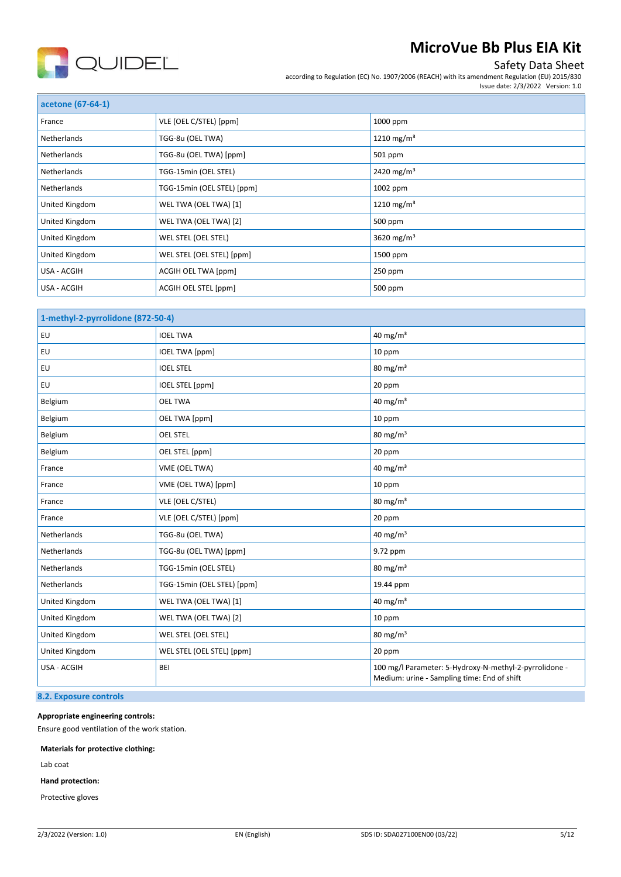

### Safety Data Sheet

according to Regulation (EC) No. 1907/2006 (REACH) with its amendment Regulation (EU) 2015/830 Issue date: 2/3/2022 Version: 1.0

| acetone (67-64-1)  |                            |                        |
|--------------------|----------------------------|------------------------|
| France             | VLE (OEL C/STEL) [ppm]     | 1000 ppm               |
| Netherlands        | TGG-8u (OEL TWA)           | 1210 mg/m <sup>3</sup> |
| <b>Netherlands</b> | TGG-8u (OEL TWA) [ppm]     | 501 ppm                |
| <b>Netherlands</b> | TGG-15min (OEL STEL)       | 2420 mg/m <sup>3</sup> |
| Netherlands        | TGG-15min (OEL STEL) [ppm] | 1002 ppm               |
| United Kingdom     | WEL TWA (OEL TWA) [1]      | 1210 mg/m <sup>3</sup> |
| United Kingdom     | WEL TWA (OEL TWA) [2]      | 500 ppm                |
| United Kingdom     | WEL STEL (OEL STEL)        | 3620 mg/m <sup>3</sup> |
| United Kingdom     | WEL STEL (OEL STEL) [ppm]  | 1500 ppm               |
| USA - ACGIH        | ACGIH OEL TWA [ppm]        | 250 ppm                |
| USA - ACGIH        | ACGIH OEL STEL [ppm]       | 500 ppm                |

| 1-methyl-2-pyrrolidone (872-50-4) |                            |                                                                                                       |
|-----------------------------------|----------------------------|-------------------------------------------------------------------------------------------------------|
| EU                                | <b>IOEL TWA</b>            | 40 mg/m <sup>3</sup>                                                                                  |
| EU                                | <b>IOEL TWA [ppm]</b>      | 10 ppm                                                                                                |
| EU                                | <b>IOEL STEL</b>           | $80 \text{ mg/m}^3$                                                                                   |
| EU                                | IOEL STEL [ppm]            | 20 ppm                                                                                                |
| Belgium                           | <b>OEL TWA</b>             | 40 mg/m $3$                                                                                           |
| Belgium                           | OEL TWA [ppm]              | 10 ppm                                                                                                |
| Belgium                           | <b>OEL STEL</b>            | $80 \text{ mg/m}^3$                                                                                   |
| Belgium                           | OEL STEL [ppm]             | 20 ppm                                                                                                |
| France                            | VME (OEL TWA)              | 40 mg/m <sup>3</sup>                                                                                  |
| France                            | VME (OEL TWA) [ppm]        | 10 ppm                                                                                                |
| France                            | VLE (OEL C/STEL)           | 80 mg/m <sup>3</sup>                                                                                  |
| France                            | VLE (OEL C/STEL) [ppm]     | 20 ppm                                                                                                |
| Netherlands                       | TGG-8u (OEL TWA)           | 40 mg/m <sup>3</sup>                                                                                  |
| Netherlands                       | TGG-8u (OEL TWA) [ppm]     | 9.72 ppm                                                                                              |
| Netherlands                       | TGG-15min (OEL STEL)       | $80 \text{ mg/m}^3$                                                                                   |
| Netherlands                       | TGG-15min (OEL STEL) [ppm] | 19.44 ppm                                                                                             |
| United Kingdom                    | WEL TWA (OEL TWA) [1]      | 40 mg/m $3$                                                                                           |
| United Kingdom                    | WEL TWA (OEL TWA) [2]      | 10 ppm                                                                                                |
| United Kingdom                    | WEL STEL (OEL STEL)        | $80 \text{ mg/m}^3$                                                                                   |
| United Kingdom                    | WEL STEL (OEL STEL) [ppm]  | 20 ppm                                                                                                |
| USA - ACGIH                       | <b>BEI</b>                 | 100 mg/l Parameter: 5-Hydroxy-N-methyl-2-pyrrolidone -<br>Medium: urine - Sampling time: End of shift |

### **8.2. Exposure controls**

**Appropriate engineering controls:**

Ensure good ventilation of the work station.

**Materials for protective clothing:**

Lab coat

**Hand protection:**

Protective gloves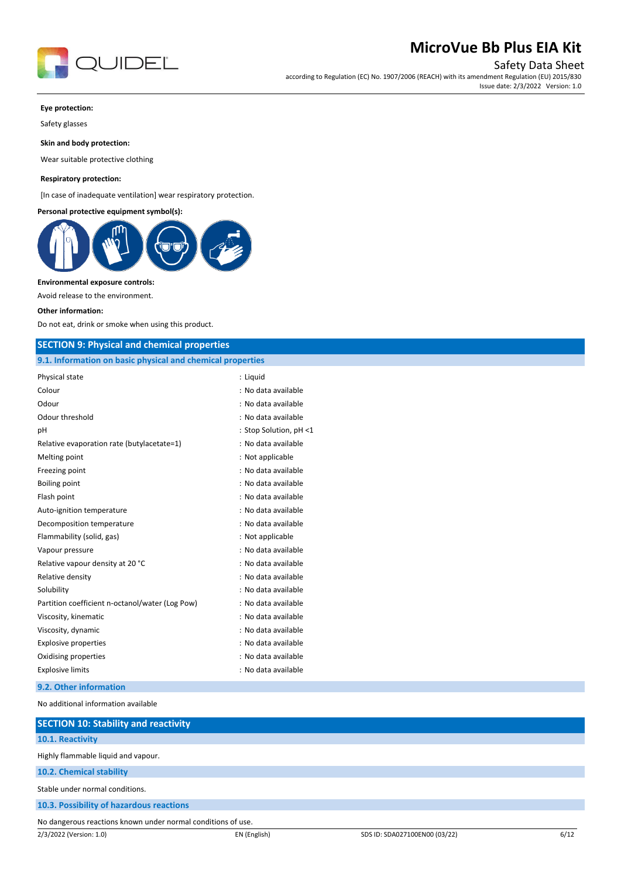

Safety Data Sheet

according to Regulation (EC) No. 1907/2006 (REACH) with its amendment Regulation (EU) 2015/830 Issue date: 2/3/2022 Version: 1.0

#### **Eye protection:**

Safety glasses

**Skin and body protection:**

Wear suitable protective clothing

#### **Respiratory protection:**

[In case of inadequate ventilation] wear respiratory protection.

#### **Personal protective equipment symbol(s):**



#### **Environmental exposure controls:**

Avoid release to the environment.

#### **Other information:**

Do not eat, drink or smoke when using this product.

#### **SECTION 9: Physical and chemical properties**

| 9.1. Information on basic physical and chemical properties |                        |  |
|------------------------------------------------------------|------------------------|--|
| Physical state                                             | : Liguid               |  |
| Colour                                                     | : No data available    |  |
| Odour                                                      | : No data available    |  |
| Odour threshold                                            | : No data available    |  |
| pH                                                         | : Stop Solution, pH <1 |  |
| Relative evaporation rate (butylacetate=1)                 | : No data available    |  |
| Melting point                                              | : Not applicable       |  |
| Freezing point                                             | : No data available    |  |
| Boiling point                                              | : No data available    |  |
| Flash point                                                | : No data available    |  |
| Auto-ignition temperature                                  | : No data available    |  |
| Decomposition temperature                                  | : No data available    |  |
| Flammability (solid, gas)                                  | : Not applicable       |  |
| Vapour pressure                                            | : No data available    |  |
| Relative vapour density at 20 °C                           | : No data available    |  |
| Relative density                                           | : No data available    |  |
| Solubility                                                 | : No data available    |  |
| Partition coefficient n-octanol/water (Log Pow)            | : No data available    |  |
| Viscosity, kinematic                                       | : No data available    |  |
| Viscosity, dynamic                                         | : No data available    |  |
| <b>Explosive properties</b>                                | : No data available    |  |
| Oxidising properties                                       | : No data available    |  |
| <b>Explosive limits</b>                                    | : No data available    |  |
|                                                            |                        |  |

#### **9.2. Other information**

No additional information available

| <b>SECTION 10: Stability and reactivity</b>                  |              |                               |      |
|--------------------------------------------------------------|--------------|-------------------------------|------|
| 10.1. Reactivity                                             |              |                               |      |
| Highly flammable liquid and vapour.                          |              |                               |      |
| 10.2. Chemical stability                                     |              |                               |      |
| Stable under normal conditions.                              |              |                               |      |
| 10.3. Possibility of hazardous reactions                     |              |                               |      |
| No dangerous reactions known under normal conditions of use. |              |                               |      |
| 2/3/2022 (Version: 1.0)                                      | EN (English) | SDS ID: SDA027100EN00 (03/22) | 6/12 |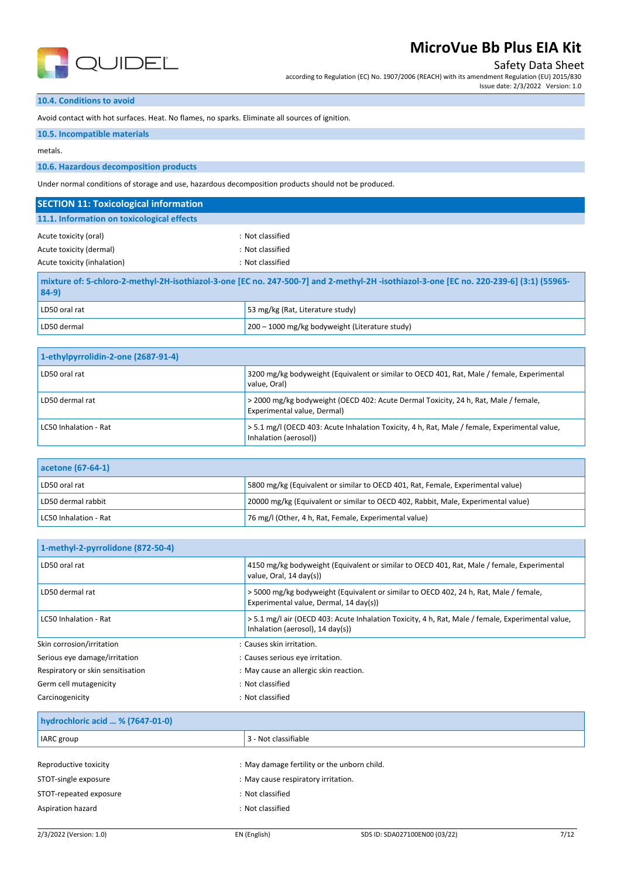

Safety Data Sheet

according to Regulation (EC) No. 1907/2006 (REACH) with its amendment Regulation (EU) 2015/830 Issue date: 2/3/2022 Version: 1.0

## **10.4. Conditions to avoid**

Avoid contact with hot surfaces. Heat. No flames, no sparks. Eliminate all sources of ignition.

#### **10.5. Incompatible materials**

metals.

#### **10.6. Hazardous decomposition products**

Under normal conditions of storage and use, hazardous decomposition products should not be produced.

| <b>SECTION 11: Toxicological information</b>                                                                                                                |                                                |  |
|-------------------------------------------------------------------------------------------------------------------------------------------------------------|------------------------------------------------|--|
| 11.1. Information on toxicological effects                                                                                                                  |                                                |  |
| : Not classified<br>Acute toxicity (oral)<br>Acute toxicity (dermal)<br>: Not classified<br>: Not classified<br>Acute toxicity (inhalation)                 |                                                |  |
| -55965) mixture of: 5-chloro-2-methyl-2H-isothiazol-3-one [EC no. 247-500-7] and 2-methyl-2H -isothiazol-3-one [EC no. 220-239-6] (3:1)   55965-<br>$84-9)$ |                                                |  |
| LD50 oral rat                                                                                                                                               | 53 mg/kg (Rat, Literature study)               |  |
| LD50 dermal                                                                                                                                                 | 200 - 1000 mg/kg bodyweight (Literature study) |  |

| 1-ethylpyrrolidin-2-one (2687-91-4) |                                                                                                                        |
|-------------------------------------|------------------------------------------------------------------------------------------------------------------------|
| LD50 oral rat                       | 3200 mg/kg bodyweight (Equivalent or similar to OECD 401, Rat, Male / female, Experimental<br>value, Oral)             |
| LD50 dermal rat                     | > 2000 mg/kg bodyweight (OECD 402: Acute Dermal Toxicity, 24 h, Rat, Male / female,<br>Experimental value, Dermal)     |
| LC50 Inhalation - Rat               | > 5.1 mg/l (OECD 403: Acute Inhalation Toxicity, 4 h, Rat, Male / female, Experimental value,<br>Inhalation (aerosol)) |

| acetone (67-64-1)     |                                                                                   |
|-----------------------|-----------------------------------------------------------------------------------|
| LD50 oral rat         | 5800 mg/kg (Equivalent or similar to OECD 401, Rat, Female, Experimental value)   |
| LD50 dermal rabbit    | 20000 mg/kg (Equivalent or similar to OECD 402, Rabbit, Male, Experimental value) |
| LC50 Inhalation - Rat | 76 mg/l (Other, 4 h, Rat, Female, Experimental value)                             |

| 1-methyl-2-pyrrolidone (872-50-4) |                                                                                                                                                  |  |
|-----------------------------------|--------------------------------------------------------------------------------------------------------------------------------------------------|--|
| LD50 oral rat                     | 4150 mg/kg bodyweight (Equivalent or similar to OECD 401, Rat, Male / female, Experimental<br>value, Oral, 14 day(s))                            |  |
| LD50 dermal rat                   | >5000 mg/kg bodyweight (Equivalent or similar to OECD 402, 24 h, Rat, Male / female,<br>Experimental value, Dermal, 14 day(s))                   |  |
| LC50 Inhalation - Rat             | > 5.1 mg/l air (OECD 403: Acute Inhalation Toxicity, 4 h, Rat, Male / female, Experimental value,<br>Inhalation (aerosol), $14 \text{ day(s)}$ ) |  |
| Skin corrosion/irritation         | : Causes skin irritation.                                                                                                                        |  |
| Serious eye damage/irritation     | : Causes serious eye irritation.                                                                                                                 |  |
| Respiratory or skin sensitisation | : May cause an allergic skin reaction.                                                                                                           |  |
| Germ cell mutagenicity            | : Not classified                                                                                                                                 |  |
| Carcinogenicity                   | : Not classified                                                                                                                                 |  |

#### **hydrochloric acid … % (7647-01-0)**

| IARC group             | 3 - Not classifiable                        |
|------------------------|---------------------------------------------|
|                        |                                             |
| Reproductive toxicity  | : May damage fertility or the unborn child. |
| STOT-single exposure   | : May cause respiratory irritation.         |
| STOT-repeated exposure | : Not classified                            |
| Aspiration hazard      | : Not classified                            |
|                        |                                             |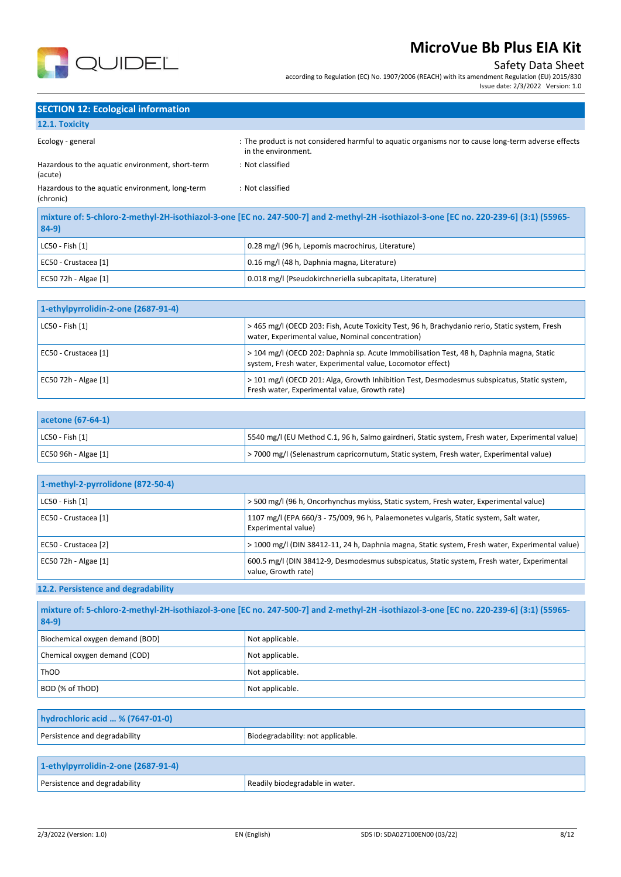

### Safety Data Sheet

according to Regulation (EC) No. 1907/2006 (REACH) with its amendment Regulation (EU) 2015/830 Issue date: 2/3/2022 Version: 1.0

## **SECTION 12: Ecological information**

## **12.1. Toxicity**

| Ecology - general                                                                                                                              | : The product is not considered harmful to aquatic organisms nor to cause long-term adverse effects<br>in the environment. |
|------------------------------------------------------------------------------------------------------------------------------------------------|----------------------------------------------------------------------------------------------------------------------------|
| Hazardous to the aquatic environment, short-term<br>(acute)                                                                                    | : Not classified                                                                                                           |
| Hazardous to the aquatic environment, long-term<br>(chronic)                                                                                   | : Not classified                                                                                                           |
| mixture of: 5-chloro-2-methyl-2H-isothiazol-3-one [EC no. 247-500-7] and 2-methyl-2H -isothiazol-3-one [EC no. 220-239-6] (3:1) (55965-<br>RAQ |                                                                                                                            |

| $ 84-9 $             |                                                          |  |
|----------------------|----------------------------------------------------------|--|
| LC50 - Fish [1]      | 0.28 mg/l (96 h, Lepomis macrochirus, Literature)        |  |
| EC50 - Crustacea [1] | 0.16 mg/l (48 h, Daphnia magna, Literature)              |  |
| EC50 72h - Algae [1] | 0.018 mg/l (Pseudokirchneriella subcapitata, Literature) |  |

| 1-ethylpyrrolidin-2-one (2687-91-4) |                                                                                                                                                        |
|-------------------------------------|--------------------------------------------------------------------------------------------------------------------------------------------------------|
| LC50 - Fish [1]                     | > 465 mg/l (OECD 203: Fish, Acute Toxicity Test, 96 h, Brachydanio rerio, Static system, Fresh<br>water, Experimental value, Nominal concentration)    |
| EC50 - Crustacea [1]                | > 104 mg/l (OECD 202: Daphnia sp. Acute Immobilisation Test, 48 h, Daphnia magna, Static<br>system, Fresh water, Experimental value, Locomotor effect) |
| EC50 72h - Algae [1]                | > 101 mg/l (OECD 201: Alga, Growth Inhibition Test, Desmodesmus subspicatus, Static system,<br>Fresh water, Experimental value, Growth rate)           |

| acetone (67-64-1)     |                                                                                                   |
|-----------------------|---------------------------------------------------------------------------------------------------|
| $ $ LC50 - Fish $[1]$ | [5540 mg/l (EU Method C.1, 96 h, Salmo gairdneri, Static system, Fresh water, Experimental value) |
| EC50 96h - Algae [1]  | > 7000 mg/l (Selenastrum capricornutum, Static system, Fresh water, Experimental value)           |

| 1-methyl-2-pyrrolidone (872-50-4) |                                                                                                                   |
|-----------------------------------|-------------------------------------------------------------------------------------------------------------------|
| LC50 - Fish [1]                   | > 500 mg/l (96 h, Oncorhynchus mykiss, Static system, Fresh water, Experimental value)                            |
| EC50 - Crustacea [1]              | 1107 mg/l (EPA 660/3 - 75/009, 96 h, Palaemonetes vulgaris, Static system, Salt water,<br>Experimental value)     |
| EC50 - Crustacea [2]              | > 1000 mg/l (DIN 38412-11, 24 h, Daphnia magna, Static system, Fresh water, Experimental value)                   |
| EC50 72h - Algae [1]              | 600.5 mg/l (DIN 38412-9, Desmodesmus subspicatus, Static system, Fresh water, Experimental<br>value, Growth rate) |

## **12.2. Persistence and degradability**

| mixture of: 5-chloro-2-methyl-2H-isothiazol-3-one [EC no. 247-500-7] and 2-methyl-2H-isothiazol-3-one [EC no. 220-239-6] (3:1) (55965-<br>$84-9$ |                 |  |
|--------------------------------------------------------------------------------------------------------------------------------------------------|-----------------|--|
| Biochemical oxygen demand (BOD)                                                                                                                  | Not applicable. |  |
| Chemical oxygen demand (COD)                                                                                                                     | Not applicable. |  |
| ThOD                                                                                                                                             | Not applicable. |  |
| BOD (% of ThOD)                                                                                                                                  | Not applicable. |  |

| hydrochloric acid  % (7647-01-0) |                                   |
|----------------------------------|-----------------------------------|
| Persistence and degradability    | Biodegradability: not applicable. |
| .                                |                                   |

| 1-ethylpyrrolidin-2-one (2687-91-4) |                                 |
|-------------------------------------|---------------------------------|
| Persistence and degradability       | Readily biodegradable in water. |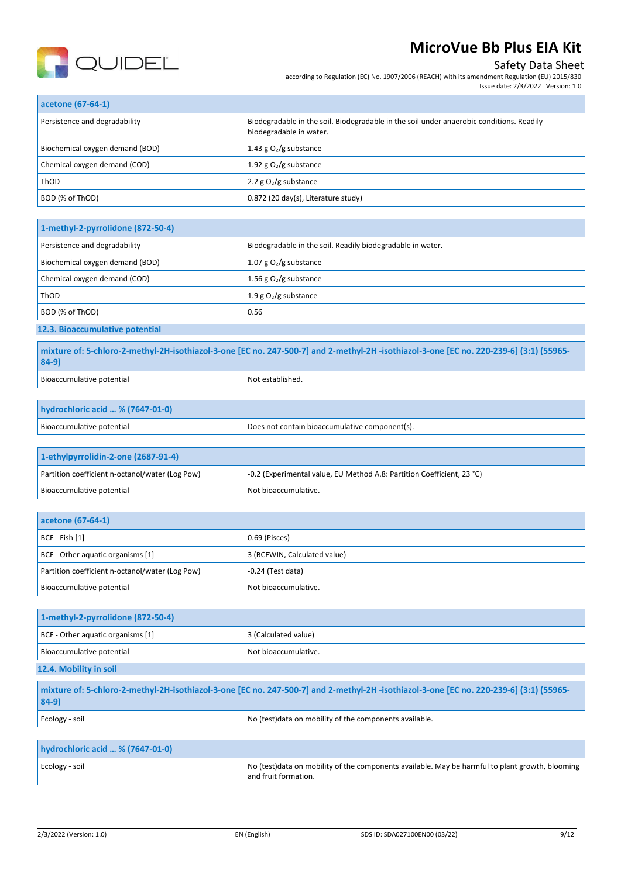

### Safety Data Sheet

according to Regulation (EC) No. 1907/2006 (REACH) with its amendment Regulation (EU) 2015/830

| Issue date: 2/3/2022 Version: 1.0 |  |  |
|-----------------------------------|--|--|

| acetone (67-64-1)               |                                                                                                                     |  |
|---------------------------------|---------------------------------------------------------------------------------------------------------------------|--|
| Persistence and degradability   | Biodegradable in the soil. Biodegradable in the soil under anaerobic conditions. Readily<br>biodegradable in water. |  |
| Biochemical oxygen demand (BOD) | 1.43 g $O2/g$ substance                                                                                             |  |
| Chemical oxygen demand (COD)    | 1.92 g $O_2/g$ substance                                                                                            |  |
| <b>ThOD</b>                     | 2.2 $g O2/g$ substance                                                                                              |  |
| BOD (% of ThOD)                 | 0.872 (20 day(s), Literature study)                                                                                 |  |

| 1-methyl-2-pyrrolidone (872-50-4)                                                           |                          |  |
|---------------------------------------------------------------------------------------------|--------------------------|--|
| Persistence and degradability<br>Biodegradable in the soil. Readily biodegradable in water. |                          |  |
| Biochemical oxygen demand (BOD)                                                             | 1.07 g $O_2/g$ substance |  |
| Chemical oxygen demand (COD)                                                                | 1.56 g $O_2/g$ substance |  |
| ThOD                                                                                        | 1.9 g $O_2/g$ substance  |  |
| BOD (% of ThOD)                                                                             | 0.56                     |  |
| 12.3. Bioaccumulative potential                                                             |                          |  |

**mixture of: 5-chloro-2-methyl-2H-isothiazol-3-one [EC no. 247-500-7] and 2-methyl-2H -isothiazol-3-one [EC no. 220-239-6] (3:1) (55965- 84-9)** Bioaccumulative potential Notestablished.

| hydrochloric acid  % (7647-01-0) |                                                |
|----------------------------------|------------------------------------------------|
| Bioaccumulative potential        | Does not contain bioaccumulative component(s). |

| 1-ethylpyrrolidin-2-one (2687-91-4)             |                                                                        |  |
|-------------------------------------------------|------------------------------------------------------------------------|--|
| Partition coefficient n-octanol/water (Log Pow) | -0.2 (Experimental value, EU Method A.8: Partition Coefficient, 23 °C) |  |
| Bioaccumulative potential                       | Not bioaccumulative.                                                   |  |

| acetone (67-64-1)                               |                              |
|-------------------------------------------------|------------------------------|
| $ BCF - Fish [1]$                               | $0.69$ (Pisces)              |
| BCF - Other aquatic organisms [1]               | 3 (BCFWIN, Calculated value) |
| Partition coefficient n-octanol/water (Log Pow) | $-0.24$ (Test data)          |
| Bioaccumulative potential                       | Not bioaccumulative.         |

| 1-methyl-2-pyrrolidone (872-50-4) |                      |
|-----------------------------------|----------------------|
| BCF - Other aquatic organisms [1] | 3 (Calculated value) |
| Bioaccumulative potential         | Not bioaccumulative. |
| 12.4. Mobility in soil            |                      |

| $84-9)$                          | mixture of: 5-chloro-2-methyl-2H-isothiazol-3-one [EC no. 247-500-7] and 2-methyl-2H-isothiazol-3-one [EC no. 220-239-6] (3:1) (55965- |  |  |
|----------------------------------|----------------------------------------------------------------------------------------------------------------------------------------|--|--|
| Ecology - soil                   | No (test) data on mobility of the components available.                                                                                |  |  |
|                                  |                                                                                                                                        |  |  |
| hydrochloric acid  % (7647-01-0) |                                                                                                                                        |  |  |

|  | Ecology - soil | No (test) data on mobility of the components available. May be harmful to plant growth, blooming |  |
|--|----------------|--------------------------------------------------------------------------------------------------|--|
|  |                | and fruit formation.                                                                             |  |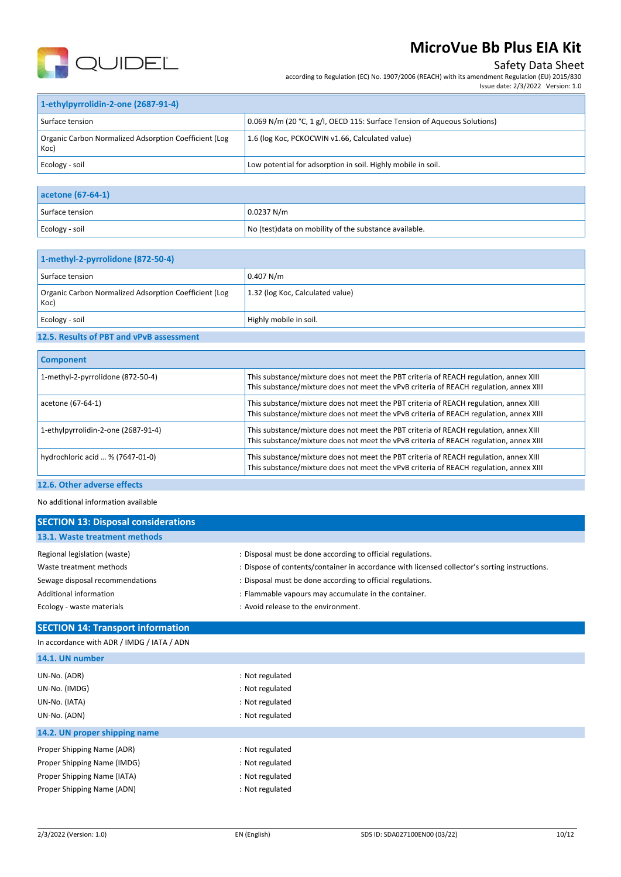

### Safety Data Sheet

according to Regulation (EC) No. 1907/2006 (REACH) with its amendment Regulation (EU) 2015/830

| 1-ethylpyrrolidin-2-one (2687-91-4)                           |                                                                          |  |
|---------------------------------------------------------------|--------------------------------------------------------------------------|--|
| Surface tension                                               | 0.069 N/m (20 °C, 1 g/l, OECD 115: Surface Tension of Aqueous Solutions) |  |
| Organic Carbon Normalized Adsorption Coefficient (Log<br>Koc) | 1.6 (log Koc, PCKOCWIN v1.66, Calculated value)                          |  |
| Ecology - soil                                                | Low potential for adsorption in soil. Highly mobile in soil.             |  |

| acetone (67-64-1) |                                                        |
|-------------------|--------------------------------------------------------|
| Surface tension   | 0.0237 N/m                                             |
| Ecology - soil    | No (test) data on mobility of the substance available. |

| 1-methyl-2-pyrrolidone (872-50-4)                             |                                  |  |
|---------------------------------------------------------------|----------------------------------|--|
| Surface tension                                               | 0.407 N/m                        |  |
| Organic Carbon Normalized Adsorption Coefficient (Log<br>Koc) | 1.32 (log Koc, Calculated value) |  |
| Ecology - soil                                                | Highly mobile in soil.           |  |
|                                                               |                                  |  |

## **12.5. Results of PBT and vPvB assessment**

| <b>Component</b>                    |                                                                                                                                                                                 |
|-------------------------------------|---------------------------------------------------------------------------------------------------------------------------------------------------------------------------------|
| 1-methyl-2-pyrrolidone (872-50-4)   | This substance/mixture does not meet the PBT criteria of REACH regulation, annex XIII<br>This substance/mixture does not meet the vPvB criteria of REACH regulation, annex XIII |
| acetone (67-64-1)                   | This substance/mixture does not meet the PBT criteria of REACH regulation, annex XIII<br>This substance/mixture does not meet the vPvB criteria of REACH regulation, annex XIII |
| 1-ethylpyrrolidin-2-one (2687-91-4) | This substance/mixture does not meet the PBT criteria of REACH regulation, annex XIII<br>This substance/mixture does not meet the vPvB criteria of REACH regulation, annex XIII |
| hydrochloric acid  % (7647-01-0)    | This substance/mixture does not meet the PBT criteria of REACH regulation, annex XIII<br>This substance/mixture does not meet the vPvB criteria of REACH regulation, annex XIII |
|                                     |                                                                                                                                                                                 |

### **12.6. Other adverse effects**

#### No additional information available

| <b>SECTION 13: Disposal considerations</b> |                                                                                               |
|--------------------------------------------|-----------------------------------------------------------------------------------------------|
| 13.1. Waste treatment methods              |                                                                                               |
| Regional legislation (waste)               | : Disposal must be done according to official regulations.                                    |
| Waste treatment methods                    | : Dispose of contents/container in accordance with licensed collector's sorting instructions. |
| Sewage disposal recommendations            | : Disposal must be done according to official regulations.                                    |
| Additional information                     | : Flammable vapours may accumulate in the container.                                          |
| Ecology - waste materials                  | : Avoid release to the environment.                                                           |

### **SECTION 14: Transport information**

| 14.1. UN number               |                 |  |
|-------------------------------|-----------------|--|
| UN-No. (ADR)                  | : Not regulated |  |
| UN-No. (IMDG)                 | : Not regulated |  |
| UN-No. (IATA)                 | : Not regulated |  |
| UN-No. (ADN)                  | : Not regulated |  |
| 14.2. UN proper shipping name |                 |  |
| Proper Shipping Name (ADR)    | : Not regulated |  |
| Proper Shipping Name (IMDG)   | : Not regulated |  |
| Proper Shipping Name (IATA)   | : Not regulated |  |
| Proper Shipping Name (ADN)    | : Not regulated |  |
|                               |                 |  |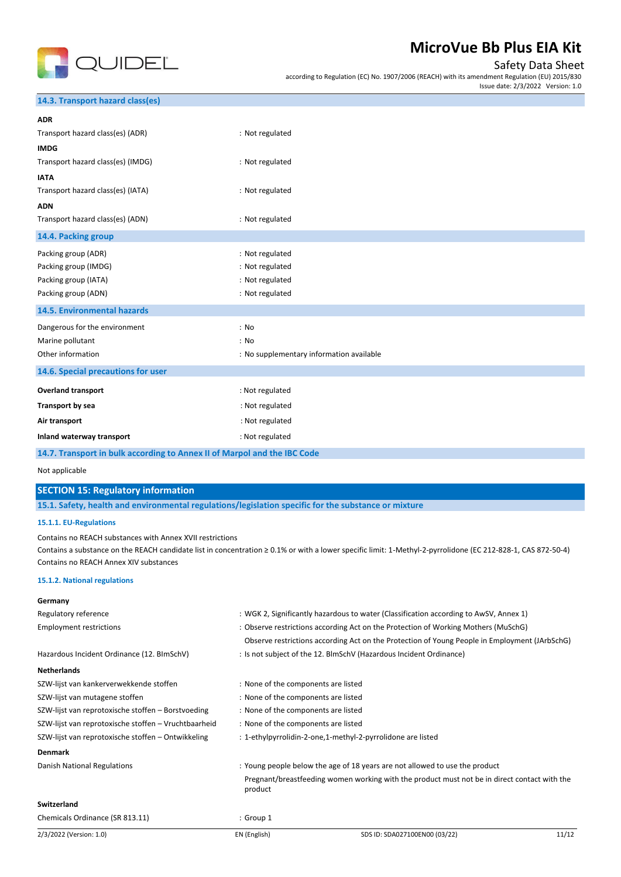

### Safety Data Sheet

according to Regulation (EC) No. 1907/2006 (REACH) with its amendment Regulation (EU) 2015/830

Issue date: 2/3/2022 Version: 1.0

### **14.3. Transport hazard class(es)**

| <b>ADR</b>                         |                                          |
|------------------------------------|------------------------------------------|
| Transport hazard class(es) (ADR)   | : Not regulated                          |
| <b>IMDG</b>                        |                                          |
| Transport hazard class(es) (IMDG)  | : Not regulated                          |
| <b>IATA</b>                        |                                          |
| Transport hazard class(es) (IATA)  | : Not regulated                          |
| <b>ADN</b>                         |                                          |
| Transport hazard class(es) (ADN)   | : Not regulated                          |
| 14.4. Packing group                |                                          |
| Packing group (ADR)                | : Not regulated                          |
| Packing group (IMDG)               | : Not regulated                          |
| Packing group (IATA)               | : Not regulated                          |
| Packing group (ADN)                | : Not regulated                          |
| <b>14.5. Environmental hazards</b> |                                          |
| Dangerous for the environment      | : No                                     |
| Marine pollutant                   | : No                                     |
| Other information                  | : No supplementary information available |
| 14.6. Special precautions for user |                                          |
| <b>Overland transport</b>          | : Not regulated                          |
| Transport by sea                   | : Not regulated                          |
| Air transport                      | : Not regulated                          |
| Inland waterway transport          | : Not regulated                          |

#### **14.7. Transport in bulk according to Annex II of Marpol and the IBC Code**

Not applicable

#### **SECTION 15: Regulatory information**

**15.1. Safety, health and environmental regulations/legislation specific for the substance or mixture**

#### **15.1.1. EU-Regulations**

Contains no REACH substances with Annex XVII restrictions

Contains a substance on the REACH candidate list in concentration ≥ 0.1% or with a lower specific limit: 1-Methyl-2-pyrrolidone (EC 212-828-1, CAS 872-50-4) Contains no REACH Annex XIV substances

#### **15.1.2. National regulations**

#### **Germany**

| Regulatory reference                                 | : WGK 2, Significantly hazardous to water (Classification according to AwSV, Annex 1) |                                                                                               |       |  |
|------------------------------------------------------|---------------------------------------------------------------------------------------|-----------------------------------------------------------------------------------------------|-------|--|
| <b>Employment restrictions</b>                       | : Observe restrictions according Act on the Protection of Working Mothers (MuSchG)    |                                                                                               |       |  |
|                                                      |                                                                                       | Observe restrictions according Act on the Protection of Young People in Employment (JArbSchG) |       |  |
| Hazardous Incident Ordinance (12. BImSchV)           |                                                                                       | : Is not subject of the 12. BlmSchV (Hazardous Incident Ordinance)                            |       |  |
| <b>Netherlands</b>                                   |                                                                                       |                                                                                               |       |  |
| SZW-lijst van kankerverwekkende stoffen              |                                                                                       | : None of the components are listed                                                           |       |  |
| SZW-lijst van mutagene stoffen                       |                                                                                       | : None of the components are listed                                                           |       |  |
| SZW-lijst van reprotoxische stoffen – Borstvoeding   |                                                                                       | : None of the components are listed                                                           |       |  |
| SZW-lijst van reprotoxische stoffen – Vruchtbaarheid |                                                                                       | : None of the components are listed                                                           |       |  |
| SZW-lijst van reprotoxische stoffen - Ontwikkeling   | : 1-ethylpyrrolidin-2-one,1-methyl-2-pyrrolidone are listed                           |                                                                                               |       |  |
| <b>Denmark</b>                                       |                                                                                       |                                                                                               |       |  |
| Danish National Regulations                          | : Young people below the age of 18 years are not allowed to use the product           |                                                                                               |       |  |
|                                                      | product                                                                               | Pregnant/breastfeeding women working with the product must not be in direct contact with the  |       |  |
| <b>Switzerland</b>                                   |                                                                                       |                                                                                               |       |  |
| Chemicals Ordinance (SR 813.11)                      | : Group 1                                                                             |                                                                                               |       |  |
| 2/3/2022 (Version: 1.0)                              | EN (English)                                                                          | SDS ID: SDA027100EN00 (03/22)                                                                 | 11/12 |  |